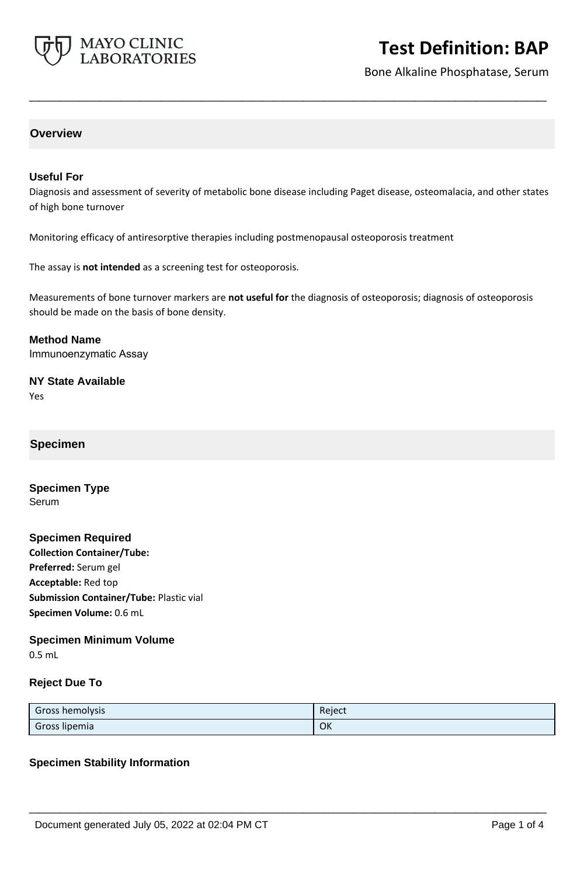

# **Test Definition: BAP**

Bone Alkaline Phosphatase, Serum

## **Overview**

### **Useful For**

Diagnosis and assessment of severity of metabolic bone disease including Paget disease, osteomalacia, and other states of high bone turnover

**\_\_\_\_\_\_\_\_\_\_\_\_\_\_\_\_\_\_\_\_\_\_\_\_\_\_\_\_\_\_\_\_\_\_\_\_\_\_\_\_\_\_\_\_\_\_\_\_\_\_\_**

Monitoring efficacy of antiresorptive therapies including postmenopausal osteoporosis treatment

The assay is **not intended** as a screening test for osteoporosis.

Measurements of bone turnover markers are **not useful for** the diagnosis of osteoporosis; diagnosis of osteoporosis should be made on the basis of bone density.

**Method Name** Immunoenzymatic Assay

**NY State Available** Yes

### **Specimen**

**Specimen Type** Serum

**Specimen Required Collection Container/Tube: Preferred:** Serum gel **Acceptable:** Red top **Submission Container/Tube:** Plastic vial **Specimen Volume:** 0.6 mL

**Specimen Minimum Volume**

0.5 mL

#### **Reject Due To**

| Gross hemolysis | Reject |
|-----------------|--------|
| Gross lipemia   | OK     |

**\_\_\_\_\_\_\_\_\_\_\_\_\_\_\_\_\_\_\_\_\_\_\_\_\_\_\_\_\_\_\_\_\_\_\_\_\_\_\_\_\_\_\_\_\_\_\_\_\_\_\_**

#### **Specimen Stability Information**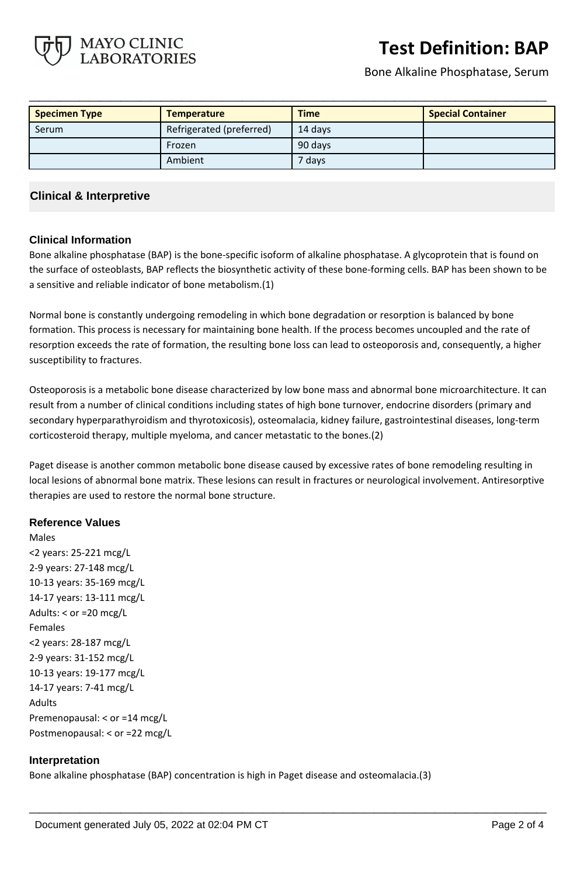

# **Test Definition: BAP**

Bone Alkaline Phosphatase, Serum

| <b>Specimen Type</b> | <b>Temperature</b>       | <b>Time</b> | <b>Special Container</b> |
|----------------------|--------------------------|-------------|--------------------------|
| Serum                | Refrigerated (preferred) | 14 davs     |                          |
|                      | Frozen                   | 90 days     |                          |
|                      | Ambient                  | 7 days      |                          |

**\_\_\_\_\_\_\_\_\_\_\_\_\_\_\_\_\_\_\_\_\_\_\_\_\_\_\_\_\_\_\_\_\_\_\_\_\_\_\_\_\_\_\_\_\_\_\_\_\_\_\_**

## **Clinical & Interpretive**

## **Clinical Information**

Bone alkaline phosphatase (BAP) is the bone-specific isoform of alkaline phosphatase. A glycoprotein that is found on the surface of osteoblasts, BAP reflects the biosynthetic activity of these bone-forming cells. BAP has been shown to be a sensitive and reliable indicator of bone metabolism.(1)

Normal bone is constantly undergoing remodeling in which bone degradation or resorption is balanced by bone formation. This process is necessary for maintaining bone health. If the process becomes uncoupled and the rate of resorption exceeds the rate of formation, the resulting bone loss can lead to osteoporosis and, consequently, a higher susceptibility to fractures.

Osteoporosis is a metabolic bone disease characterized by low bone mass and abnormal bone microarchitecture. It can result from a number of clinical conditions including states of high bone turnover, endocrine disorders (primary and secondary hyperparathyroidism and thyrotoxicosis), osteomalacia, kidney failure, gastrointestinal diseases, long-term corticosteroid therapy, multiple myeloma, and cancer metastatic to the bones.(2)

Paget disease is another common metabolic bone disease caused by excessive rates of bone remodeling resulting in local lesions of abnormal bone matrix. These lesions can result in fractures or neurological involvement. Antiresorptive therapies are used to restore the normal bone structure.

## **Reference Values**

Males <2 years: 25-221 mcg/L 2-9 years: 27-148 mcg/L 10-13 years: 35-169 mcg/L 14-17 years: 13-111 mcg/L Adults: < or =20 mcg/L Females <2 years: 28-187 mcg/L 2-9 years: 31-152 mcg/L 10-13 years: 19-177 mcg/L 14-17 years: 7-41 mcg/L Adults Premenopausal: < or =14 mcg/L Postmenopausal: < or =22 mcg/L

### **Interpretation**

Bone alkaline phosphatase (BAP) concentration is high in Paget disease and osteomalacia.(3)

**\_\_\_\_\_\_\_\_\_\_\_\_\_\_\_\_\_\_\_\_\_\_\_\_\_\_\_\_\_\_\_\_\_\_\_\_\_\_\_\_\_\_\_\_\_\_\_\_\_\_\_**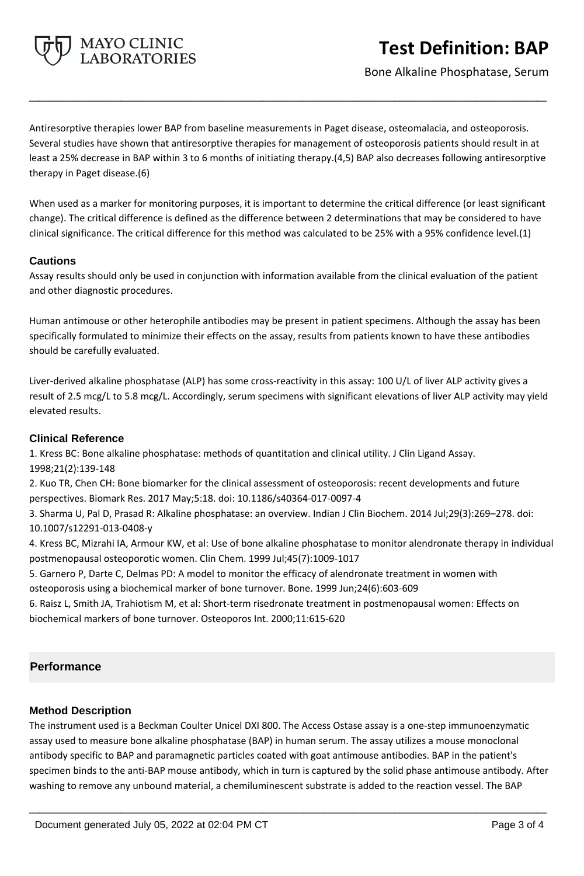

Bone Alkaline Phosphatase, Serum

Antiresorptive therapies lower BAP from baseline measurements in Paget disease, osteomalacia, and osteoporosis. Several studies have shown that antiresorptive therapies for management of osteoporosis patients should result in at least a 25% decrease in BAP within 3 to 6 months of initiating therapy.(4,5) BAP also decreases following antiresorptive therapy in Paget disease.(6)

**\_\_\_\_\_\_\_\_\_\_\_\_\_\_\_\_\_\_\_\_\_\_\_\_\_\_\_\_\_\_\_\_\_\_\_\_\_\_\_\_\_\_\_\_\_\_\_\_\_\_\_**

When used as a marker for monitoring purposes, it is important to determine the critical difference (or least significant change). The critical difference is defined as the difference between 2 determinations that may be considered to have clinical significance. The critical difference for this method was calculated to be 25% with a 95% confidence level.(1)

### **Cautions**

Assay results should only be used in conjunction with information available from the clinical evaluation of the patient and other diagnostic procedures.

Human antimouse or other heterophile antibodies may be present in patient specimens. Although the assay has been specifically formulated to minimize their effects on the assay, results from patients known to have these antibodies should be carefully evaluated.

Liver-derived alkaline phosphatase (ALP) has some cross-reactivity in this assay: 100 U/L of liver ALP activity gives a result of 2.5 mcg/L to 5.8 mcg/L. Accordingly, serum specimens with significant elevations of liver ALP activity may yield elevated results.

### **Clinical Reference**

1. Kress BC: Bone alkaline phosphatase: methods of quantitation and clinical utility. J Clin Ligand Assay. 1998;21(2):139-148

2. Kuo TR, Chen CH: Bone biomarker for the clinical assessment of osteoporosis: recent developments and future perspectives. Biomark Res. 2017 May;5:18. doi: 10.1186/s40364-017-0097-4

3. Sharma U, Pal D, Prasad R: Alkaline phosphatase: an overview. Indian J Clin Biochem. 2014 Jul;29(3):269–278. doi: 10.1007/s12291-013-0408-y

4. Kress BC, Mizrahi IA, Armour KW, et al: Use of bone alkaline phosphatase to monitor alendronate therapy in individual postmenopausal osteoporotic women. Clin Chem. 1999 Jul;45(7):1009-1017

5. Garnero P, Darte C, Delmas PD: A model to monitor the efficacy of alendronate treatment in women with osteoporosis using a biochemical marker of bone turnover. Bone. 1999 Jun;24(6):603-609

6. Raisz L, Smith JA, Trahiotism M, et al: Short-term risedronate treatment in postmenopausal women: Effects on biochemical markers of bone turnover. Osteoporos Int. 2000;11:615-620

# **Performance**

## **Method Description**

The instrument used is a Beckman Coulter Unicel DXI 800. The Access Ostase assay is a one-step immunoenzymatic assay used to measure bone alkaline phosphatase (BAP) in human serum. The assay utilizes a mouse monoclonal antibody specific to BAP and paramagnetic particles coated with goat antimouse antibodies. BAP in the patient's specimen binds to the anti-BAP mouse antibody, which in turn is captured by the solid phase antimouse antibody. After washing to remove any unbound material, a chemiluminescent substrate is added to the reaction vessel. The BAP

**\_\_\_\_\_\_\_\_\_\_\_\_\_\_\_\_\_\_\_\_\_\_\_\_\_\_\_\_\_\_\_\_\_\_\_\_\_\_\_\_\_\_\_\_\_\_\_\_\_\_\_**